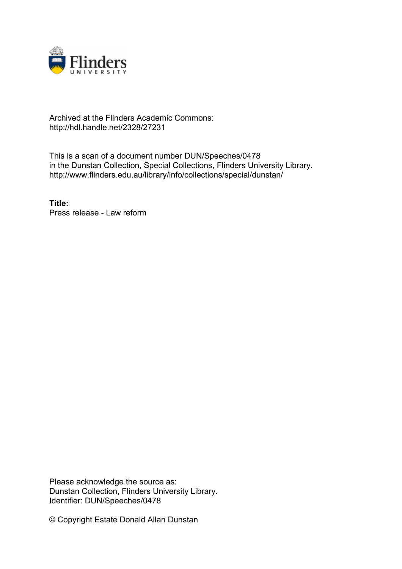

## Archived at the Flinders Academic Commons: http://hdl.handle.net/2328/27231

This is a scan of a document number DUN/Speeches/0478 in the Dunstan Collection, Special Collections, Flinders University Library. http://www.flinders.edu.au/library/info/collections/special/dunstan/

**Title:** Press release - Law reform

Please acknowledge the source as: Dunstan Collection, Flinders University Library. Identifier: DUN/Speeches/0478

© Copyright Estate Donald Allan Dunstan